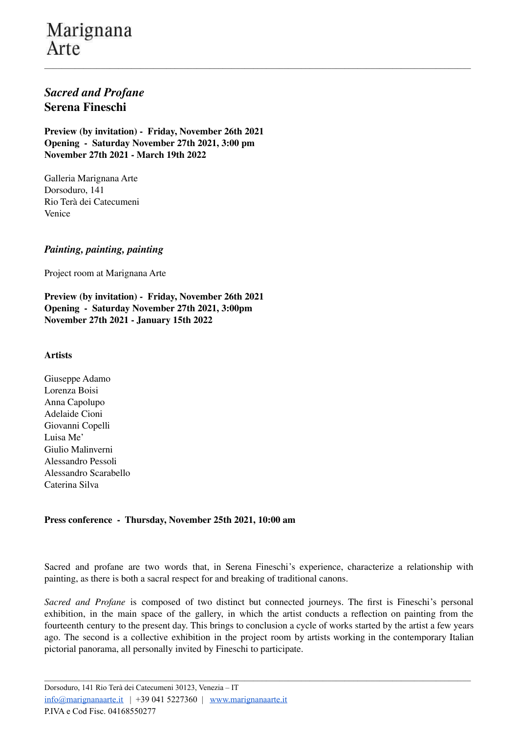## Marignana Arte

### *Sacred and Profane* **Serena Fineschi**

**Preview (by invitation) - Friday, November 26th 2021 Opening - Saturday November 27th 2021, 3:00 pm November 27th 2021 - March 19th 2022**

Galleria Marignana Arte Dorsoduro, 141 Rio Terà dei Catecumeni Venice

#### *Painting, painting, painting*

Project room at Marignana Arte

**Preview (by invitation) - Friday, November 26th 2021 Opening - Saturday November 27th 2021, 3:00pm November 27th 2021 - January 15th 2022**

#### **Artists**

Giuseppe Adamo Lorenza Boisi Anna Capolupo Adelaide Cioni Giovanni Copelli Luisa Me' Giulio Malinverni Alessandro Pessoli Alessandro Scarabello Caterina Silva

#### **Press conference - Thursday, November 25th 2021, 10:00 am**

Sacred and profane are two words that, in Serena Fineschi's experience, characterize a relationship with painting, as there is both a sacral respect for and breaking of traditional canons.

*Sacred and Profane* is composed of two distinct but connected journeys. The first is Fineschi's personal exhibition, in the main space of the gallery, in which the artist conducts a reflection on painting from the fourteenth century to the present day. This brings to conclusion a cycle of works started by the artist a few years ago. The second is a collective exhibition in the project room by artists working in the contemporary Italian pictorial panorama, all personally invited by Fineschi to participate.

 $\mathcal{L}_\mathcal{L} = \{ \mathcal{L}_\mathcal{L} = \{ \mathcal{L}_\mathcal{L} = \{ \mathcal{L}_\mathcal{L} = \{ \mathcal{L}_\mathcal{L} = \{ \mathcal{L}_\mathcal{L} = \{ \mathcal{L}_\mathcal{L} = \{ \mathcal{L}_\mathcal{L} = \{ \mathcal{L}_\mathcal{L} = \{ \mathcal{L}_\mathcal{L} = \{ \mathcal{L}_\mathcal{L} = \{ \mathcal{L}_\mathcal{L} = \{ \mathcal{L}_\mathcal{L} = \{ \mathcal{L}_\mathcal{L} = \{ \mathcal{L}_\mathcal{$